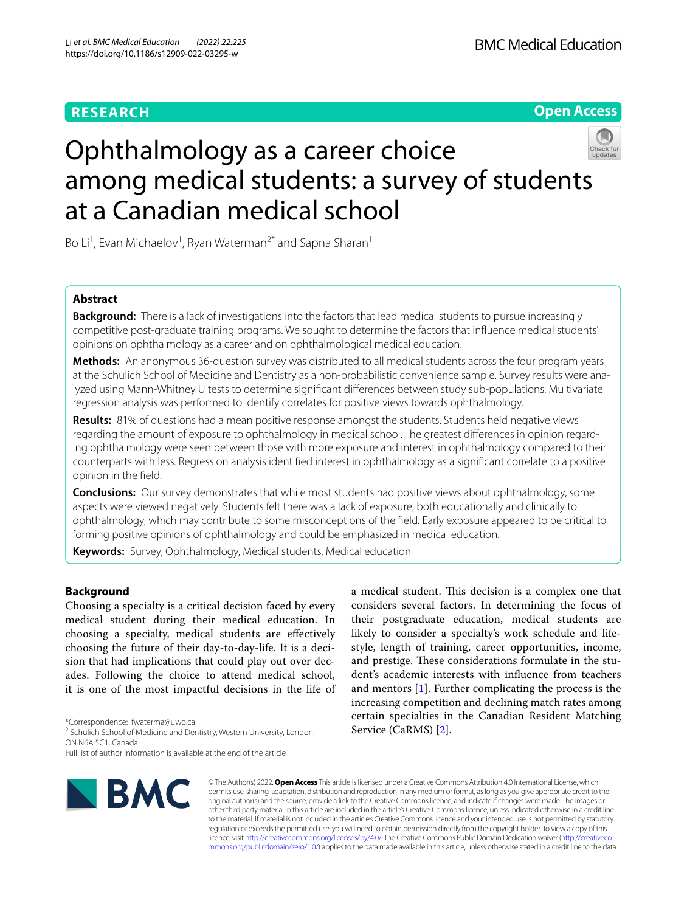# **RESEARCH**

**Open Access**

# Ophthalmology as a career choice among medical students: a survey of students at a Canadian medical school

Bo Li<sup>1</sup>, Evan Michaelov<sup>1</sup>, Ryan Waterman<sup>2\*</sup> and Sapna Sharan<sup>1</sup>

## **Abstract**

**Background:** There is a lack of investigations into the factors that lead medical students to pursue increasingly competitive post-graduate training programs. We sought to determine the factors that infuence medical students' opinions on ophthalmology as a career and on ophthalmological medical education.

**Methods:** An anonymous 36-question survey was distributed to all medical students across the four program years at the Schulich School of Medicine and Dentistry as a non-probabilistic convenience sample. Survey results were analyzed using Mann-Whitney U tests to determine signifcant diferences between study sub-populations. Multivariate regression analysis was performed to identify correlates for positive views towards ophthalmology.

**Results:** 81% of questions had a mean positive response amongst the students. Students held negative views regarding the amount of exposure to ophthalmology in medical school. The greatest diferences in opinion regarding ophthalmology were seen between those with more exposure and interest in ophthalmology compared to their counterparts with less. Regression analysis identifed interest in ophthalmology as a signifcant correlate to a positive opinion in the feld.

**Conclusions:** Our survey demonstrates that while most students had positive views about ophthalmology, some aspects were viewed negatively. Students felt there was a lack of exposure, both educationally and clinically to ophthalmology, which may contribute to some misconceptions of the feld. Early exposure appeared to be critical to forming positive opinions of ophthalmology and could be emphasized in medical education.

**Keywords:** Survey, Ophthalmology, Medical students, Medical education

## **Background**

Choosing a specialty is a critical decision faced by every medical student during their medical education. In choosing a specialty, medical students are efectively choosing the future of their day-to-day-life. It is a decision that had implications that could play out over decades. Following the choice to attend medical school, it is one of the most impactful decisions in the life of

\*Correspondence: fwaterma@uwo.ca

<sup>2</sup> Schulich School of Medicine and Dentistry, Western University, London, ON N6A 5C1, Canada

Full list of author information is available at the end of the article



© The Author(s) 2022. **Open Access** This article is licensed under a Creative Commons Attribution 4.0 International License, which permits use, sharing, adaptation, distribution and reproduction in any medium or format, as long as you give appropriate credit to the original author(s) and the source, provide a link to the Creative Commons licence, and indicate if changes were made. The images or other third party material in this article are included in the article's Creative Commons licence, unless indicated otherwise in a credit line to the material. If material is not included in the article's Creative Commons licence and your intended use is not permitted by statutory regulation or exceeds the permitted use, you will need to obtain permission directly from the copyright holder. To view a copy of this licence, visit [http://creativecommons.org/licenses/by/4.0/.](http://creativecommons.org/licenses/by/4.0/) The Creative Commons Public Domain Dedication waiver ([http://creativeco](http://creativecommons.org/publicdomain/zero/1.0/) [mmons.org/publicdomain/zero/1.0/](http://creativecommons.org/publicdomain/zero/1.0/)) applies to the data made available in this article, unless otherwise stated in a credit line to the data.

Service (CaRMS) [\[2](#page-7-1)].

a medical student. This decision is a complex one that considers several factors. In determining the focus of their postgraduate education, medical students are likely to consider a specialty's work schedule and lifestyle, length of training, career opportunities, income, and prestige. These considerations formulate in the student's academic interests with infuence from teachers and mentors [[1\]](#page-7-0). Further complicating the process is the increasing competition and declining match rates among certain specialties in the Canadian Resident Matching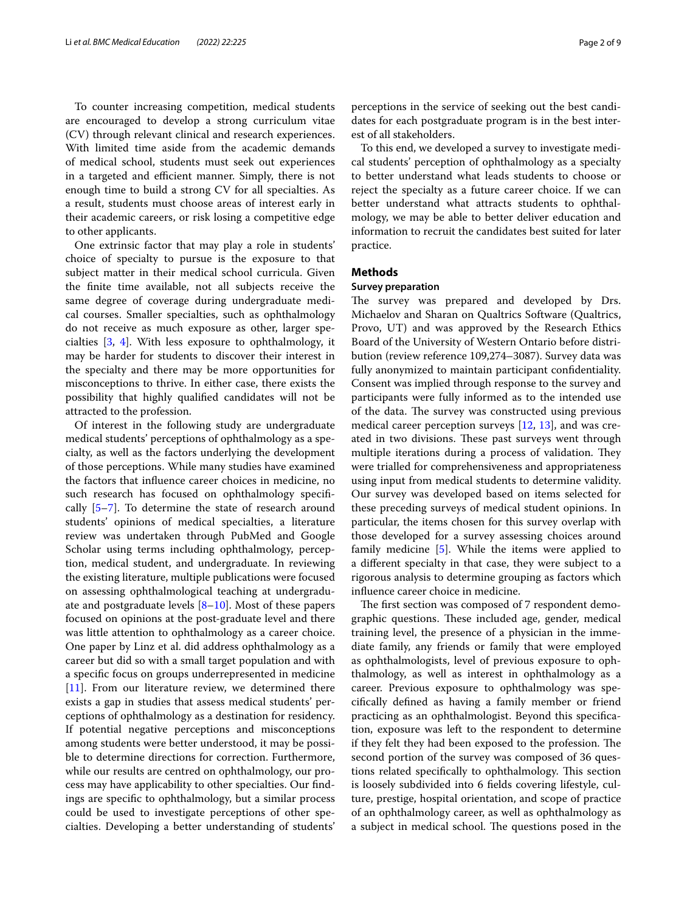To counter increasing competition, medical students are encouraged to develop a strong curriculum vitae (CV) through relevant clinical and research experiences. With limited time aside from the academic demands of medical school, students must seek out experiences in a targeted and efficient manner. Simply, there is not enough time to build a strong CV for all specialties. As a result, students must choose areas of interest early in their academic careers, or risk losing a competitive edge to other applicants.

One extrinsic factor that may play a role in students' choice of specialty to pursue is the exposure to that subject matter in their medical school curricula. Given the fnite time available, not all subjects receive the same degree of coverage during undergraduate medical courses. Smaller specialties, such as ophthalmology do not receive as much exposure as other, larger specialties [[3,](#page-7-2) [4\]](#page-7-3). With less exposure to ophthalmology, it may be harder for students to discover their interest in the specialty and there may be more opportunities for misconceptions to thrive. In either case, there exists the possibility that highly qualifed candidates will not be attracted to the profession.

Of interest in the following study are undergraduate medical students' perceptions of ophthalmology as a specialty, as well as the factors underlying the development of those perceptions. While many studies have examined the factors that infuence career choices in medicine, no such research has focused on ophthalmology specifcally [[5–](#page-7-4)[7](#page-7-5)]. To determine the state of research around students' opinions of medical specialties, a literature review was undertaken through PubMed and Google Scholar using terms including ophthalmology, perception, medical student, and undergraduate. In reviewing the existing literature, multiple publications were focused on assessing ophthalmological teaching at undergraduate and postgraduate levels  $[8-10]$  $[8-10]$  $[8-10]$ . Most of these papers focused on opinions at the post-graduate level and there was little attention to ophthalmology as a career choice. One paper by Linz et al. did address ophthalmology as a career but did so with a small target population and with a specifc focus on groups underrepresented in medicine [[11\]](#page-8-1). From our literature review, we determined there exists a gap in studies that assess medical students' perceptions of ophthalmology as a destination for residency. If potential negative perceptions and misconceptions among students were better understood, it may be possible to determine directions for correction. Furthermore, while our results are centred on ophthalmology, our process may have applicability to other specialties. Our fndings are specifc to ophthalmology, but a similar process could be used to investigate perceptions of other specialties. Developing a better understanding of students'

perceptions in the service of seeking out the best candidates for each postgraduate program is in the best interest of all stakeholders.

To this end, we developed a survey to investigate medical students' perception of ophthalmology as a specialty to better understand what leads students to choose or reject the specialty as a future career choice. If we can better understand what attracts students to ophthalmology, we may be able to better deliver education and information to recruit the candidates best suited for later practice.

## **Methods**

## **Survey preparation**

The survey was prepared and developed by Drs. Michaelov and Sharan on Qualtrics Software (Qualtrics, Provo, UT) and was approved by the Research Ethics Board of the University of Western Ontario before distribution (review reference 109,274–3087). Survey data was fully anonymized to maintain participant confidentiality. Consent was implied through response to the survey and participants were fully informed as to the intended use of the data. The survey was constructed using previous medical career perception surveys [\[12](#page-8-2), [13](#page-8-3)], and was created in two divisions. These past surveys went through multiple iterations during a process of validation. They were trialled for comprehensiveness and appropriateness using input from medical students to determine validity. Our survey was developed based on items selected for these preceding surveys of medical student opinions. In particular, the items chosen for this survey overlap with those developed for a survey assessing choices around family medicine [[5\]](#page-7-4). While the items were applied to a diferent specialty in that case, they were subject to a rigorous analysis to determine grouping as factors which infuence career choice in medicine.

The first section was composed of 7 respondent demographic questions. These included age, gender, medical training level, the presence of a physician in the immediate family, any friends or family that were employed as ophthalmologists, level of previous exposure to ophthalmology, as well as interest in ophthalmology as a career. Previous exposure to ophthalmology was specifcally defned as having a family member or friend practicing as an ophthalmologist. Beyond this specifcation, exposure was left to the respondent to determine if they felt they had been exposed to the profession. The second portion of the survey was composed of 36 questions related specifically to ophthalmology. This section is loosely subdivided into 6 felds covering lifestyle, culture, prestige, hospital orientation, and scope of practice of an ophthalmology career, as well as ophthalmology as a subject in medical school. The questions posed in the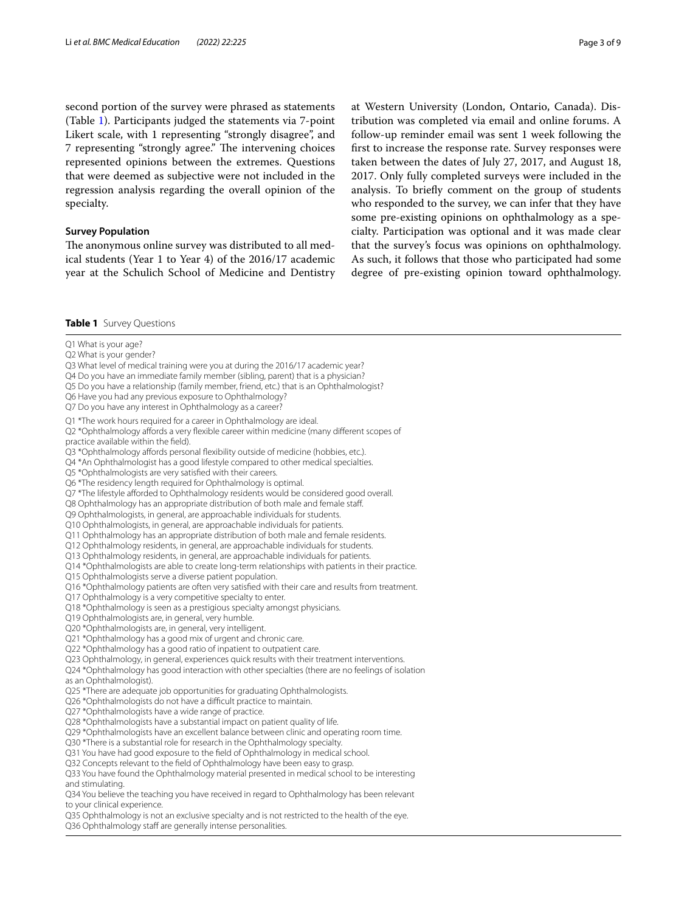second portion of the survey were phrased as statements (Table [1](#page-2-0)). Participants judged the statements via 7-point Likert scale, with 1 representing "strongly disagree", and 7 representing "strongly agree." The intervening choices represented opinions between the extremes. Questions that were deemed as subjective were not included in the regression analysis regarding the overall opinion of the specialty.

## **Survey Population**

The anonymous online survey was distributed to all medical students (Year 1 to Year 4) of the 2016/17 academic year at the Schulich School of Medicine and Dentistry at Western University (London, Ontario, Canada). Distribution was completed via email and online forums. A follow-up reminder email was sent 1 week following the frst to increase the response rate. Survey responses were taken between the dates of July 27, 2017, and August 18, 2017. Only fully completed surveys were included in the analysis. To briefy comment on the group of students who responded to the survey, we can infer that they have some pre-existing opinions on ophthalmology as a specialty. Participation was optional and it was made clear that the survey's focus was opinions on ophthalmology. As such, it follows that those who participated had some degree of pre-existing opinion toward ophthalmology.

#### <span id="page-2-0"></span>**Table 1** Survey Questions

Q1 What is your age?

Q2 What is your gender?

Q3 What level of medical training were you at during the 2016/17 academic year?

Q4 Do you have an immediate family member (sibling, parent) that is a physician?

Q5 Do you have a relationship (family member, friend, etc.) that is an Ophthalmologist?

Q6 Have you had any previous exposure to Ophthalmology?

Q7 Do you have any interest in Ophthalmology as a career?

Q1 \*The work hours required for a career in Ophthalmology are ideal.

Q2 \*Ophthalmology affords a very flexible career within medicine (many different scopes of practice available within the feld).

Q3 \*Ophthalmology affords personal flexibility outside of medicine (hobbies, etc.).

Q4 \*An Ophthalmologist has a good lifestyle compared to other medical specialties.

Q5 \*Ophthalmologists are very satisfed with their careers.

Q6 \*The residency length required for Ophthalmology is optimal.

Q7 \*The lifestyle afforded to Ophthalmology residents would be considered good overall.

Q8 Ophthalmology has an appropriate distribution of both male and female staf.

Q9 Ophthalmologists, in general, are approachable individuals for students.

Q10 Ophthalmologists, in general, are approachable individuals for patients.

Q11 Ophthalmology has an appropriate distribution of both male and female residents.

Q12 Ophthalmology residents, in general, are approachable individuals for students.

Q13 Ophthalmology residents, in general, are approachable individuals for patients.

Q14 \*Ophthalmologists are able to create long-term relationships with patients in their practice.

Q15 Ophthalmologists serve a diverse patient population.

Q16 \*Ophthalmology patients are often very satisfed with their care and results from treatment.

Q17 Ophthalmology is a very competitive specialty to enter.

Q18 \*Ophthalmology is seen as a prestigious specialty amongst physicians.

Q19 Ophthalmologists are, in general, very humble.

Q20 \*Ophthalmologists are, in general, very intelligent.

Q21 \*Ophthalmology has a good mix of urgent and chronic care.

Q22 \*Ophthalmology has a good ratio of inpatient to outpatient care.

Q23 Ophthalmology, in general, experiences quick results with their treatment interventions.

Q24 \*Ophthalmology has good interaction with other specialties (there are no feelings of isolation

as an Ophthalmologist).

Q25 \*There are adequate job opportunities for graduating Ophthalmologists.

Q26 \*Ophthalmologists do not have a difficult practice to maintain.

Q27 \*Ophthalmologists have a wide range of practice.

Q28 \*Ophthalmologists have a substantial impact on patient quality of life.

Q29 \*Ophthalmologists have an excellent balance between clinic and operating room time.

Q30 \*There is a substantial role for research in the Ophthalmology specialty.

Q31 You have had good exposure to the feld of Ophthalmology in medical school.

Q32 Concepts relevant to the field of Ophthalmology have been easy to grasp.

Q33 You have found the Ophthalmology material presented in medical school to be interesting and stimulating.

Q34 You believe the teaching you have received in regard to Ophthalmology has been relevant to your clinical experience.

Q35 Ophthalmology is not an exclusive specialty and is not restricted to the health of the eye.

Q36 Ophthalmology staff are generally intense personalities.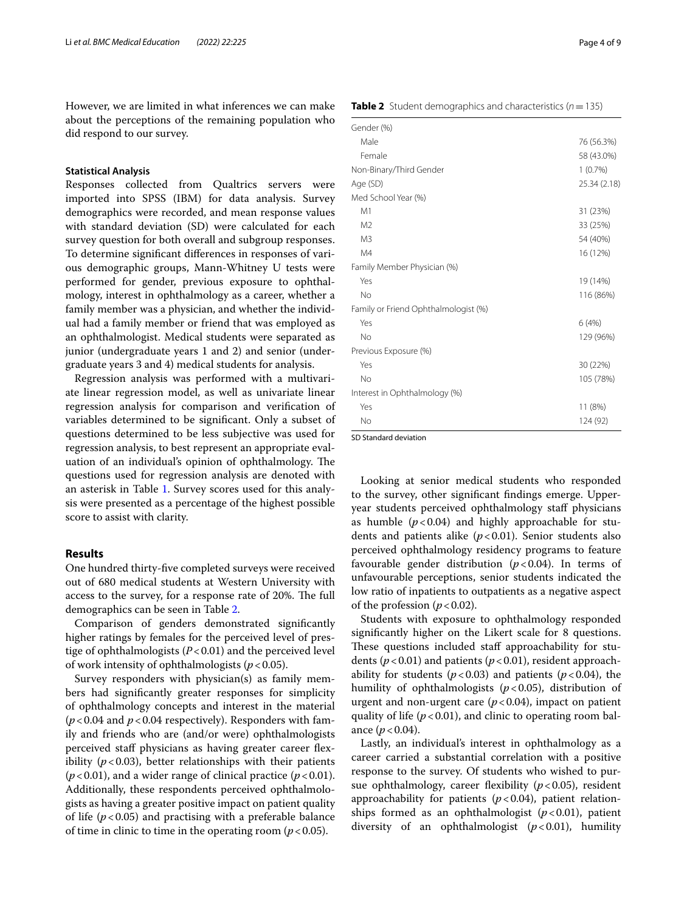However, we are limited in what inferences we can make about the perceptions of the remaining population who did respond to our survey.

## **Statistical Analysis**

Responses collected from Qualtrics servers were imported into SPSS (IBM) for data analysis. Survey demographics were recorded, and mean response values with standard deviation (SD) were calculated for each survey question for both overall and subgroup responses. To determine signifcant diferences in responses of various demographic groups, Mann-Whitney U tests were performed for gender, previous exposure to ophthalmology, interest in ophthalmology as a career, whether a family member was a physician, and whether the individual had a family member or friend that was employed as an ophthalmologist. Medical students were separated as junior (undergraduate years 1 and 2) and senior (undergraduate years 3 and 4) medical students for analysis.

Regression analysis was performed with a multivariate linear regression model, as well as univariate linear regression analysis for comparison and verifcation of variables determined to be signifcant. Only a subset of questions determined to be less subjective was used for regression analysis, to best represent an appropriate evaluation of an individual's opinion of ophthalmology. The questions used for regression analysis are denoted with an asterisk in Table [1](#page-2-0). Survey scores used for this analysis were presented as a percentage of the highest possible score to assist with clarity.

## **Results**

One hundred thirty-fve completed surveys were received out of 680 medical students at Western University with access to the survey, for a response rate of 20%. The full demographics can be seen in Table [2.](#page-3-0)

Comparison of genders demonstrated signifcantly higher ratings by females for the perceived level of prestige of ophthalmologists (*P*<0.01) and the perceived level of work intensity of ophthalmologists ( $p < 0.05$ ).

Survey responders with physician(s) as family members had signifcantly greater responses for simplicity of ophthalmology concepts and interest in the material ( $p$ <0.04 and  $p$ <0.04 respectively). Responders with family and friends who are (and/or were) ophthalmologists perceived staff physicians as having greater career flexibility  $(p < 0.03)$ , better relationships with their patients  $(p<0.01)$ , and a wider range of clinical practice  $(p<0.01)$ . Additionally, these respondents perceived ophthalmologists as having a greater positive impact on patient quality of life  $(p<0.05)$  and practising with a preferable balance of time in clinic to time in the operating room  $(p < 0.05)$ .

<span id="page-3-0"></span>**Table 2** Student demographics and characteristics ( $n = 135$ )

| Gender (%)                           |              |
|--------------------------------------|--------------|
| Male                                 | 76 (56.3%)   |
| Female                               | 58 (43.0%)   |
| Non-Binary/Third Gender              | 1(0.7%)      |
| Age (SD)                             | 25.34 (2.18) |
| Med School Year (%)                  |              |
| M1                                   | 31 (23%)     |
| M <sub>2</sub>                       | 33 (25%)     |
| M <sub>3</sub>                       | 54 (40%)     |
| M4                                   | 16 (12%)     |
| Family Member Physician (%)          |              |
| Yes                                  | 19 (14%)     |
| No                                   | 116 (86%)    |
| Family or Friend Ophthalmologist (%) |              |
| Yes                                  | 6(4%)        |
| No                                   | 129 (96%)    |
| Previous Exposure (%)                |              |
| Yes                                  | 30 (22%)     |
| No                                   | 105 (78%)    |
| Interest in Ophthalmology (%)        |              |
| Yes                                  | 11 (8%)      |
| No                                   | 124 (92)     |

SD Standard deviation

Looking at senior medical students who responded to the survey, other signifcant fndings emerge. Upperyear students perceived ophthalmology staff physicians as humble  $(p<0.04)$  and highly approachable for students and patients alike  $(p<0.01)$ . Senior students also perceived ophthalmology residency programs to feature favourable gender distribution  $(p<0.04)$ . In terms of unfavourable perceptions, senior students indicated the low ratio of inpatients to outpatients as a negative aspect of the profession  $(p < 0.02)$ .

Students with exposure to ophthalmology responded signifcantly higher on the Likert scale for 8 questions. These questions included staff approachability for students ( $p$ <0.01) and patients ( $p$ <0.01), resident approachability for students  $(p < 0.03)$  and patients  $(p < 0.04)$ , the humility of ophthalmologists  $(p<0.05)$ , distribution of urgent and non-urgent care  $(p<0.04)$ , impact on patient quality of life  $(p<0.01)$ , and clinic to operating room balance  $(p < 0.04)$ .

Lastly, an individual's interest in ophthalmology as a career carried a substantial correlation with a positive response to the survey. Of students who wished to pursue ophthalmology, career fexibility (*p*<0.05), resident approachability for patients  $(p<0.04)$ , patient relationships formed as an ophthalmologist  $(p<0.01)$ , patient diversity of an ophthalmologist (*p*<0.01), humility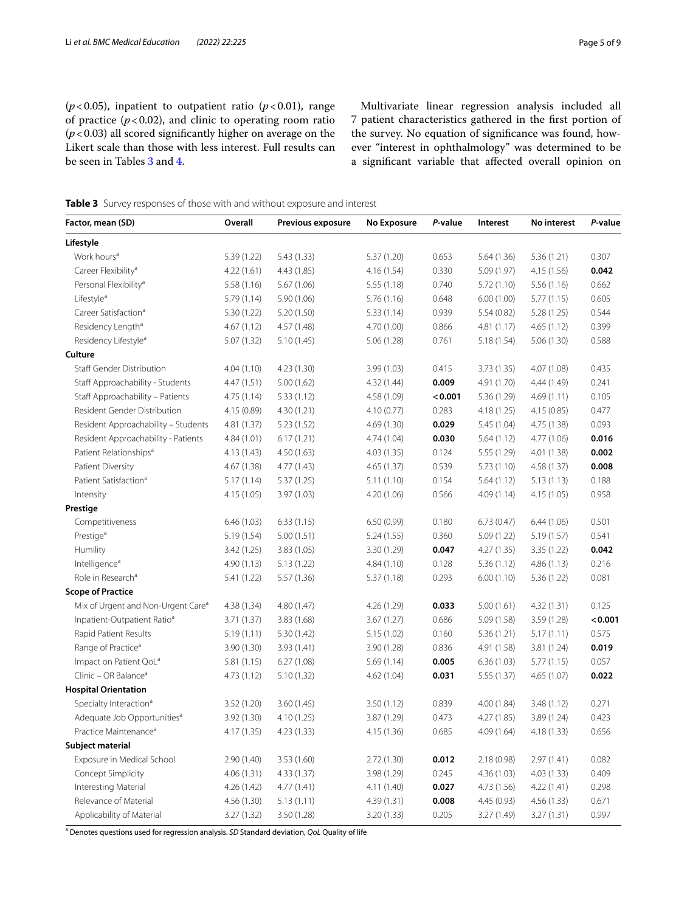( $p$ <0.05), inpatient to outpatient ratio ( $p$ <0.01), range of practice  $(p < 0.02)$ , and clinic to operating room ratio (*p*<0.03) all scored signifcantly higher on average on the Likert scale than those with less interest. Full results can be seen in Tables [3](#page-4-0) and [4.](#page-5-0)

Multivariate linear regression analysis included all 7 patient characteristics gathered in the frst portion of the survey. No equation of signifcance was found, however "interest in ophthalmology" was determined to be a signifcant variable that afected overall opinion on

<span id="page-4-0"></span>**Table 3** Survey responses of those with and without exposure and interest

| Factor, mean (SD)                              | Overall     | Previous exposure | No Exposure | P-value | Interest    | No interest | P-value |
|------------------------------------------------|-------------|-------------------|-------------|---------|-------------|-------------|---------|
| Lifestyle                                      |             |                   |             |         |             |             |         |
| Work hours <sup>a</sup>                        | 5.39 (1.22) | 5.43(1.33)        | 5.37 (1.20) | 0.653   | 5.64(1.36)  | 5.36(1.21)  | 0.307   |
| Career Flexibility <sup>a</sup>                | 4.22(1.61)  | 4.43(1.85)        | 4.16 (1.54) | 0.330   | 5.09 (1.97) | 4.15(1.56)  | 0.042   |
| Personal Flexibility <sup>a</sup>              | 5.58(1.16)  | 5.67(1.06)        | 5.55(1.18)  | 0.740   | 5.72(1.10)  | 5.56(1.16)  | 0.662   |
| Lifestyle <sup>a</sup>                         | 5.79(1.14)  | 5.90(1.06)        | 5.76(1.16)  | 0.648   | 6.00(1.00)  | 5.77(1.15)  | 0.605   |
| Career Satisfaction <sup>a</sup>               | 5.30(1.22)  | 5.20(1.50)        | 5.33(1.14)  | 0.939   | 5.54(0.82)  | 5.28(1.25)  | 0.544   |
| Residency Length <sup>a</sup>                  | 4.67(1.12)  | 4.57(1.48)        | 4.70 (1.00) | 0.866   | 4.81(1.17)  | 4.65(1.12)  | 0.399   |
| Residency Lifestyle <sup>a</sup>               | 5.07(1.32)  | 5.10(1.45)        | 5.06(1.28)  | 0.761   | 5.18(1.54)  | 5.06(1.30)  | 0.588   |
| Culture                                        |             |                   |             |         |             |             |         |
| <b>Staff Gender Distribution</b>               | 4.04(1.10)  | 4.23(1.30)        | 3.99(1.03)  | 0.415   | 3.73(1.35)  | 4.07 (1.08) | 0.435   |
| Staff Approachability - Students               | 4.47(1.51)  | 5.00(1.62)        | 4.32 (1.44) | 0.009   | 4.91 (1.70) | 4.44 (1.49) | 0.241   |
| Staff Approachability - Patients               | 4.75(1.14)  | 5.33(1.12)        | 4.58 (1.09) | < 0.001 | 5.36 (1.29) | 4.69(1.11)  | 0.105   |
| Resident Gender Distribution                   | 4.15 (0.89) | 4.30(1.21)        | 4.10(0.77)  | 0.283   | 4.18(1.25)  | 4.15(0.85)  | 0.477   |
| Resident Approachability - Students            | 4.81 (1.37) | 5.23(1.52)        | 4.69 (1.30) | 0.029   | 5.45 (1.04) | 4.75 (1.38) | 0.093   |
| Resident Approachability - Patients            | 4.84 (1.01) | 6.17(1.21)        | 4.74 (1.04) | 0.030   | 5.64(1.12)  | 4.77(1.06)  | 0.016   |
| Patient Relationships <sup>a</sup>             | 4.13 (1.43) | 4.50(1.63)        | 4.03 (1.35) | 0.124   | 5.55 (1.29) | 4.01 (1.38) | 0.002   |
| Patient Diversity                              | 4.67 (1.38) | 4.77(1.43)        | 4.65(1.37)  | 0.539   | 5.73(1.10)  | 4.58 (1.37) | 0.008   |
| Patient Satisfaction <sup>a</sup>              | 5.17(1.14)  | 5.37(1.25)        | 5.11(1.10)  | 0.154   | 5.64(1.12)  | 5.13(1.13)  | 0.188   |
| Intensity                                      | 4.15 (1.05) | 3.97 (1.03)       | 4.20 (1.06) | 0.566   | 4.09(1.14)  | 4.15(1.05)  | 0.958   |
| Prestige                                       |             |                   |             |         |             |             |         |
| Competitiveness                                | 6.46(1.03)  | 6.33(1.15)        | 6.50(0.99)  | 0.180   | 6.73(0.47)  | 6.44(1.06)  | 0.501   |
| Prestige <sup>a</sup>                          | 5.19(1.54)  | 5.00(1.51)        | 5.24(1.55)  | 0.360   | 5.09(1.22)  | 5.19(1.57)  | 0.541   |
| Humility                                       | 3.42 (1.25) | 3.83 (1.05)       | 3.30(1.29)  | 0.047   | 4.27 (1.35) | 3.35(1.22)  | 0.042   |
| Intelligence <sup>a</sup>                      | 4.90(1.13)  | 5.13(1.22)        | 4.84(1.10)  | 0.128   | 5.36(1.12)  | 4.86(1.13)  | 0.216   |
| Role in Research <sup>a</sup>                  | 5.41 (1.22) | 5.57(1.36)        | 5.37 (1.18) | 0.293   | 6.00(1.10)  | 5.36(1.22)  | 0.081   |
| <b>Scope of Practice</b>                       |             |                   |             |         |             |             |         |
| Mix of Urgent and Non-Urgent Care <sup>a</sup> | 4.38 (1.34) | 4.80(1.47)        | 4.26 (1.29) | 0.033   | 5.00(1.61)  | 4.32(1.31)  | 0.125   |
| Inpatient-Outpatient Ratio <sup>a</sup>        | 3.71(1.37)  | 3.83(1.68)        | 3.67(1.27)  | 0.686   | 5.09(1.58)  | 3.59 (1.28) | < 0.001 |
| Rapid Patient Results                          | 5.19(1.11)  | 5.30 (1.42)       | 5.15(1.02)  | 0.160   | 5.36(1.21)  | 5.17(1.11)  | 0.575   |
| Range of Practice <sup>a</sup>                 | 3.90 (1.30) | 3.93(1.41)        | 3.90 (1.28) | 0.836   | 4.91 (1.58) | 3.81 (1.24) | 0.019   |
| Impact on Patient QoL <sup>a</sup>             | 5.81(1.15)  | 6.27(1.08)        | 5.69(1.14)  | 0.005   | 6.36(1.03)  | 5.77(1.15)  | 0.057   |
| Clinic - OR Balance <sup>a</sup>               | 4.73 (1.12) | 5.10(1.32)        | 4.62 (1.04) | 0.031   | 5.55(1.37)  | 4.65(1.07)  | 0.022   |
| <b>Hospital Orientation</b>                    |             |                   |             |         |             |             |         |
| Specialty Interaction <sup>a</sup>             | 3.52 (1.20) | 3.60(1.45)        | 3.50(1.12)  | 0.839   | 4.00 (1.84) | 3.48(1.12)  | 0.271   |
| Adequate Job Opportunities <sup>a</sup>        | 3.92 (1.30) | 4.10(1.25)        | 3.87(1.29)  | 0.473   | 4.27 (1.85) | 3.89(1.24)  | 0.423   |
| Practice Maintenance <sup>a</sup>              | 4.17 (1.35) | 4.23 (1.33)       | 4.15 (1.36) | 0.685   | 4.09 (1.64) | 4.18 (1.33) | 0.656   |
| Subject material                               |             |                   |             |         |             |             |         |
| Exposure in Medical School                     | 2.90(1.40)  | 3.53(1.60)        | 2.72(1.30)  | 0.012   | 2.18(0.98)  | 2.97(1.41)  | 0.082   |
| Concept Simplicity                             | 4.06(1.31)  | 4.33(1.37)        | 3.98 (1.29) | 0.245   | 4.36 (1.03) | 4.03(1.33)  | 0.409   |
| Interesting Material                           | 4.26 (1.42) | 4.77(1.41)        | 4.11(1.40)  | 0.027   | 4.73 (1.56) | 4.22(1.41)  | 0.298   |
| Relevance of Material                          | 4.56 (1.30) | 5.13(1.11)        | 4.39(1.31)  | 0.008   | 4.45 (0.93) | 4.56(1.33)  | 0.671   |
| Applicability of Material                      | 3.27(1.32)  | 3.50 (1.28)       | 3.20(1.33)  | 0.205   | 3.27 (1.49) | 3.27(1.31)  | 0.997   |

a Denotes questions used for regression analysis. *SD* Standard deviation, *QoL* Quality of life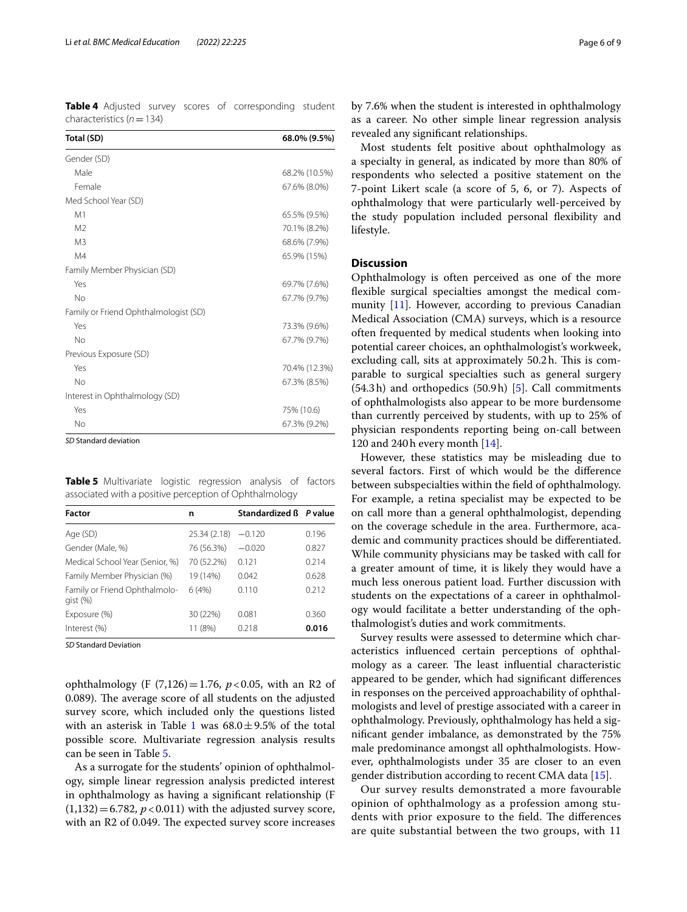<span id="page-5-0"></span>**Table 4** Adjusted survey scores of corresponding student characteristics (*n*=134)

| Total (SD)                            | 68.0% (9.5%)  |
|---------------------------------------|---------------|
| Gender (SD)                           |               |
| Male                                  | 68.2% (10.5%) |
| Female                                | 67.6% (8.0%)  |
| Med School Year (SD)                  |               |
| M1                                    | 65.5% (9.5%)  |
| M <sub>2</sub>                        | 70.1% (8.2%)  |
| M <sub>3</sub>                        | 68.6% (7.9%)  |
| M4                                    | 65.9% (15%)   |
| Family Member Physician (SD)          |               |
| Yes                                   | 69.7% (7.6%)  |
| No                                    | 67.7% (9.7%)  |
| Family or Friend Ophthalmologist (SD) |               |
| Yes                                   | 73.3% (9.6%)  |
| No                                    | 67.7% (9.7%)  |
| Previous Exposure (SD)                |               |
| Yes                                   | 70.4% (12.3%) |
| No                                    | 67.3% (8.5%)  |
| Interest in Ophthalmology (SD)        |               |
| Yes                                   | 75% (10.6)    |
| <b>No</b>                             | 67.3% (9.2%)  |

*SD* Standard deviation

<span id="page-5-1"></span>**Table 5** Multivariate logistic regression analysis of factors associated with a positive perception of Ophthalmology

| Factor                                   | n            | Standardized B P value |       |
|------------------------------------------|--------------|------------------------|-------|
| Age (SD)                                 | 25.34 (2.18) | $-0.120$               | 0.196 |
| Gender (Male, %)                         | 76 (56.3%)   | $-0.020$               | 0.827 |
| Medical School Year (Senior, %)          | 70 (52.2%)   | 0.121                  | 0.214 |
| Family Member Physician (%)              | 19 (14%)     | 0.042                  | 0.628 |
| Family or Friend Ophthalmolo-<br>qist(%) | 6(4%)        | 0.110                  | 0.212 |
| Exposure (%)                             | 30 (22%)     | 0.081                  | 0.360 |
| Interest (%)                             | 11 (8%)      | 0.218                  | 0.016 |

*SD* Standard Deviation

ophthalmology (F (7,126)=1.76, *p*<0.05, with an R2 of 0.089). The average score of all students on the adjusted survey score, which included only the questions listed with an asterisk in Table [1](#page-2-0) was  $68.0 \pm 9.5\%$  of the total possible score. Multivariate regression analysis results can be seen in Table [5.](#page-5-1)

As a surrogate for the students' opinion of ophthalmology, simple linear regression analysis predicted interest in ophthalmology as having a signifcant relationship (F  $(1,132) = 6.782, p < 0.011$ ) with the adjusted survey score, with an R2 of 0.049. The expected survey score increases

by 7.6% when the student is interested in ophthalmology as a career. No other simple linear regression analysis revealed any signifcant relationships.

Most students felt positive about ophthalmology as a specialty in general, as indicated by more than 80% of respondents who selected a positive statement on the 7-point Likert scale (a score of 5, 6, or 7). Aspects of ophthalmology that were particularly well-perceived by the study population included personal fexibility and lifestyle.

## **Discussion**

Ophthalmology is often perceived as one of the more fexible surgical specialties amongst the medical community [\[11](#page-8-1)]. However, according to previous Canadian Medical Association (CMA) surveys, which is a resource often frequented by medical students when looking into potential career choices, an ophthalmologist's workweek, excluding call, sits at approximately 50.2h. This is comparable to surgical specialties such as general surgery (54.3h) and orthopedics (50.9h) [\[5](#page-7-4)]. Call commitments of ophthalmologists also appear to be more burdensome than currently perceived by students, with up to 25% of physician respondents reporting being on-call between 120 and 240h every month [\[14](#page-8-4)].

However, these statistics may be misleading due to several factors. First of which would be the diference between subspecialties within the feld of ophthalmology. For example, a retina specialist may be expected to be on call more than a general ophthalmologist, depending on the coverage schedule in the area. Furthermore, academic and community practices should be diferentiated. While community physicians may be tasked with call for a greater amount of time, it is likely they would have a much less onerous patient load. Further discussion with students on the expectations of a career in ophthalmology would facilitate a better understanding of the ophthalmologist's duties and work commitments.

Survey results were assessed to determine which characteristics infuenced certain perceptions of ophthalmology as a career. The least influential characteristic appeared to be gender, which had signifcant diferences in responses on the perceived approachability of ophthalmologists and level of prestige associated with a career in ophthalmology. Previously, ophthalmology has held a signifcant gender imbalance, as demonstrated by the 75% male predominance amongst all ophthalmologists. However, ophthalmologists under 35 are closer to an even gender distribution according to recent CMA data [\[15](#page-8-5)].

Our survey results demonstrated a more favourable opinion of ophthalmology as a profession among students with prior exposure to the field. The differences are quite substantial between the two groups, with 11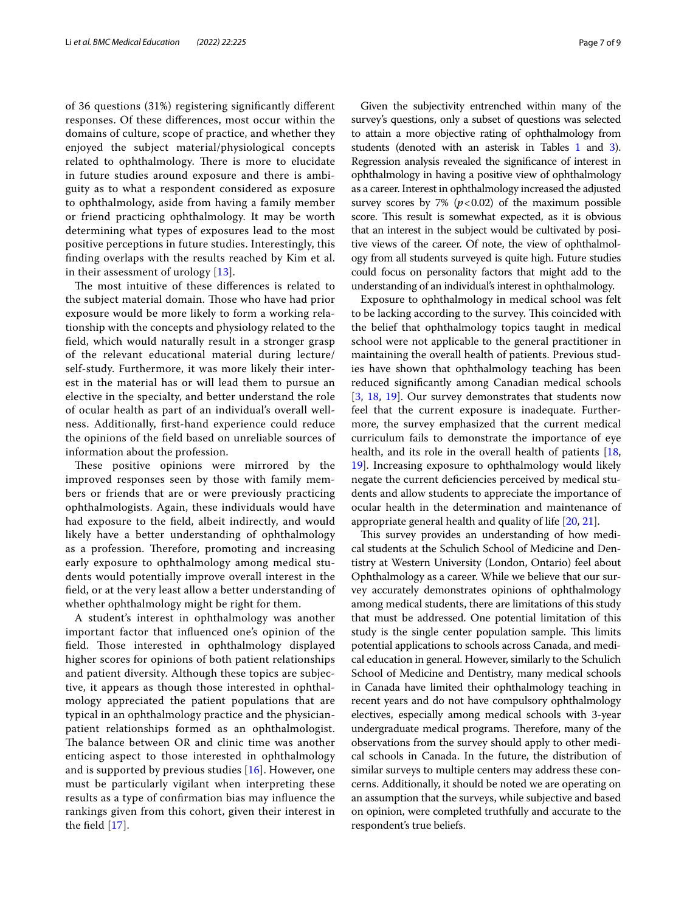of 36 questions (31%) registering signifcantly diferent responses. Of these diferences, most occur within the domains of culture, scope of practice, and whether they enjoyed the subject material/physiological concepts related to ophthalmology. There is more to elucidate in future studies around exposure and there is ambiguity as to what a respondent considered as exposure to ophthalmology, aside from having a family member or friend practicing ophthalmology. It may be worth determining what types of exposures lead to the most positive perceptions in future studies. Interestingly, this fnding overlaps with the results reached by Kim et al. in their assessment of urology [\[13](#page-8-3)].

The most intuitive of these differences is related to the subject material domain. Those who have had prior exposure would be more likely to form a working relationship with the concepts and physiology related to the feld, which would naturally result in a stronger grasp of the relevant educational material during lecture/ self-study. Furthermore, it was more likely their interest in the material has or will lead them to pursue an elective in the specialty, and better understand the role of ocular health as part of an individual's overall wellness. Additionally, frst-hand experience could reduce the opinions of the feld based on unreliable sources of information about the profession.

These positive opinions were mirrored by the improved responses seen by those with family members or friends that are or were previously practicing ophthalmologists. Again, these individuals would have had exposure to the feld, albeit indirectly, and would likely have a better understanding of ophthalmology as a profession. Therefore, promoting and increasing early exposure to ophthalmology among medical students would potentially improve overall interest in the feld, or at the very least allow a better understanding of whether ophthalmology might be right for them.

A student's interest in ophthalmology was another important factor that infuenced one's opinion of the field. Those interested in ophthalmology displayed higher scores for opinions of both patient relationships and patient diversity. Although these topics are subjective, it appears as though those interested in ophthalmology appreciated the patient populations that are typical in an ophthalmology practice and the physicianpatient relationships formed as an ophthalmologist. The balance between OR and clinic time was another enticing aspect to those interested in ophthalmology and is supported by previous studies [\[16](#page-8-6)]. However, one must be particularly vigilant when interpreting these results as a type of confrmation bias may infuence the rankings given from this cohort, given their interest in the feld [[17\]](#page-8-7).

Given the subjectivity entrenched within many of the survey's questions, only a subset of questions was selected to attain a more objective rating of ophthalmology from students (denoted with an asterisk in Tables [1](#page-2-0) and [3](#page-4-0)). Regression analysis revealed the signifcance of interest in ophthalmology in having a positive view of ophthalmology as a career. Interest in ophthalmology increased the adjusted survey scores by 7%  $(p<0.02)$  of the maximum possible score. This result is somewhat expected, as it is obvious that an interest in the subject would be cultivated by positive views of the career. Of note, the view of ophthalmology from all students surveyed is quite high. Future studies could focus on personality factors that might add to the understanding of an individual's interest in ophthalmology.

Exposure to ophthalmology in medical school was felt to be lacking according to the survey. This coincided with the belief that ophthalmology topics taught in medical school were not applicable to the general practitioner in maintaining the overall health of patients. Previous studies have shown that ophthalmology teaching has been reduced signifcantly among Canadian medical schools [[3,](#page-7-2) [18,](#page-8-8) [19](#page-8-9)]. Our survey demonstrates that students now feel that the current exposure is inadequate. Furthermore, the survey emphasized that the current medical curriculum fails to demonstrate the importance of eye health, and its role in the overall health of patients [[18](#page-8-8), [19\]](#page-8-9). Increasing exposure to ophthalmology would likely negate the current defciencies perceived by medical students and allow students to appreciate the importance of ocular health in the determination and maintenance of appropriate general health and quality of life [[20,](#page-8-10) [21\]](#page-8-11).

This survey provides an understanding of how medical students at the Schulich School of Medicine and Dentistry at Western University (London, Ontario) feel about Ophthalmology as a career. While we believe that our survey accurately demonstrates opinions of ophthalmology among medical students, there are limitations of this study that must be addressed. One potential limitation of this study is the single center population sample. This limits potential applications to schools across Canada, and medical education in general. However, similarly to the Schulich School of Medicine and Dentistry, many medical schools in Canada have limited their ophthalmology teaching in recent years and do not have compulsory ophthalmology electives, especially among medical schools with 3-year undergraduate medical programs. Therefore, many of the observations from the survey should apply to other medical schools in Canada. In the future, the distribution of similar surveys to multiple centers may address these concerns. Additionally, it should be noted we are operating on an assumption that the surveys, while subjective and based on opinion, were completed truthfully and accurate to the respondent's true beliefs.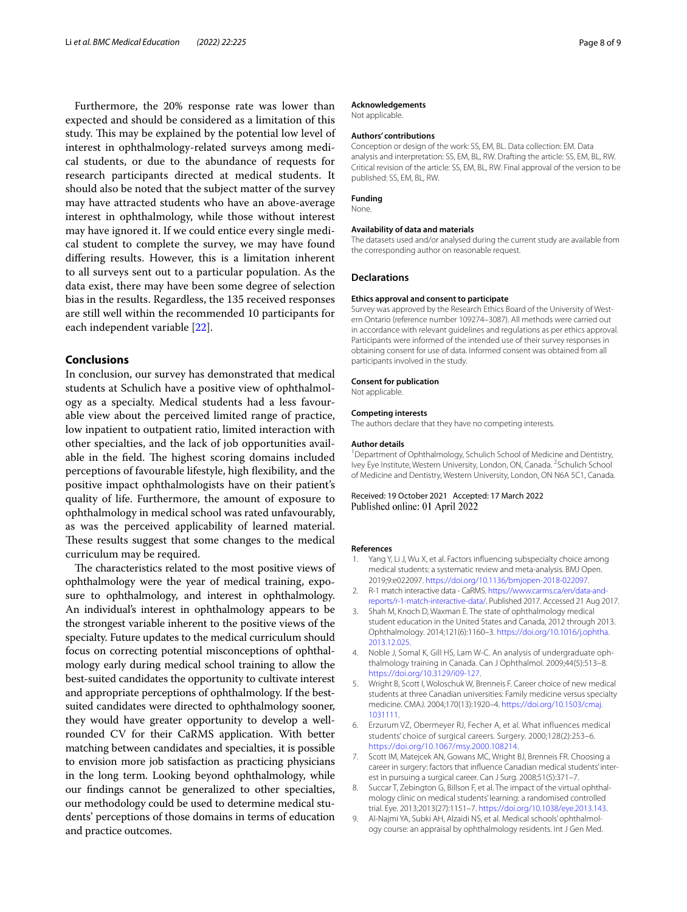Furthermore, the 20% response rate was lower than expected and should be considered as a limitation of this study. This may be explained by the potential low level of interest in ophthalmology-related surveys among medical students, or due to the abundance of requests for research participants directed at medical students. It should also be noted that the subject matter of the survey may have attracted students who have an above-average interest in ophthalmology, while those without interest may have ignored it. If we could entice every single medical student to complete the survey, we may have found difering results. However, this is a limitation inherent to all surveys sent out to a particular population. As the data exist, there may have been some degree of selection bias in the results. Regardless, the 135 received responses are still well within the recommended 10 participants for each independent variable [\[22](#page-8-12)].

## **Conclusions**

In conclusion, our survey has demonstrated that medical students at Schulich have a positive view of ophthalmology as a specialty. Medical students had a less favourable view about the perceived limited range of practice, low inpatient to outpatient ratio, limited interaction with other specialties, and the lack of job opportunities available in the field. The highest scoring domains included perceptions of favourable lifestyle, high fexibility, and the positive impact ophthalmologists have on their patient's quality of life. Furthermore, the amount of exposure to ophthalmology in medical school was rated unfavourably, as was the perceived applicability of learned material. These results suggest that some changes to the medical curriculum may be required.

The characteristics related to the most positive views of ophthalmology were the year of medical training, exposure to ophthalmology, and interest in ophthalmology. An individual's interest in ophthalmology appears to be the strongest variable inherent to the positive views of the specialty. Future updates to the medical curriculum should focus on correcting potential misconceptions of ophthalmology early during medical school training to allow the best-suited candidates the opportunity to cultivate interest and appropriate perceptions of ophthalmology. If the bestsuited candidates were directed to ophthalmology sooner, they would have greater opportunity to develop a wellrounded CV for their CaRMS application. With better matching between candidates and specialties, it is possible to envision more job satisfaction as practicing physicians in the long term. Looking beyond ophthalmology, while our fndings cannot be generalized to other specialties, our methodology could be used to determine medical students' perceptions of those domains in terms of education and practice outcomes.

#### **Acknowledgements**

Not applicable.

#### **Authors' contributions**

Conception or design of the work: SS, EM, BL. Data collection: EM. Data analysis and interpretation: SS, EM, BL, RW. Drafting the article: SS, EM, BL, RW. Critical revision of the article: SS, EM, BL, RW. Final approval of the version to be published: SS, EM, BL, RW.

## **Funding**

None.

#### **Availability of data and materials**

The datasets used and/or analysed during the current study are available from the corresponding author on reasonable request.

## **Declarations**

#### **Ethics approval and consent to participate**

Survey was approved by the Research Ethics Board of the University of Western Ontario (reference number 109274–3087). All methods were carried out in accordance with relevant guidelines and regulations as per ethics approval. Participants were informed of the intended use of their survey responses in obtaining consent for use of data. Informed consent was obtained from all participants involved in the study.

# **Consent for publication**

Not applicable.

#### **Competing interests**

The authors declare that they have no competing interests.

#### **Author details**

<sup>1</sup> Department of Ophthalmology, Schulich School of Medicine and Dentistry, Ivey Eye Institute, Western University, London, ON, Canada. <sup>2</sup> Schulich School of Medicine and Dentistry, Western University, London, ON N6A 5C1, Canada.

#### Received: 19 October 2021 Accepted: 17 March 2022 Published online: 01 April 2022

#### **References**

- <span id="page-7-0"></span>Yang Y, Li J, Wu X, et al. Factors influencing subspecialty choice among medical students: a systematic review and meta-analysis. BMJ Open. 2019;9:e022097. [https://doi.org/10.1136/bmjopen-2018-022097.](https://doi.org/10.1136/bmjopen-2018-022097)
- <span id="page-7-1"></span>2. R-1 match interactive data - CaRMS. [https://www.carms.ca/en/data-and](https://www.carms.ca/en/data-and-reports/r-1-match-interactive-data/)[reports/r-1-match-interactive-data/](https://www.carms.ca/en/data-and-reports/r-1-match-interactive-data/). Published 2017. Accessed 21 Aug 2017.
- <span id="page-7-2"></span>3. Shah M, Knoch D, Waxman E. The state of ophthalmology medical student education in the United States and Canada, 2012 through 2013. Ophthalmology. 2014;121(6):1160–3. [https://doi.org/10.1016/j.ophtha.](https://doi.org/10.1016/j.ophtha.2013.12.025) [2013.12.025](https://doi.org/10.1016/j.ophtha.2013.12.025).
- <span id="page-7-3"></span>4. Noble J, Somal K, Gill HS, Lam W-C. An analysis of undergraduate ophthalmology training in Canada. Can J Ophthalmol. 2009;44(5):513–8. <https://doi.org/10.3129/i09-127>.
- <span id="page-7-4"></span>5. Wright B, Scott I, Woloschuk W, Brenneis F. Career choice of new medical students at three Canadian universities: Family medicine versus specialty medicine. CMAJ. 2004;170(13):1920–4. [https://doi.org/10.1503/cmaj.](https://doi.org/10.1503/cmaj.1031111) [1031111](https://doi.org/10.1503/cmaj.1031111).
- 6. Erzurum VZ, Obermeyer RJ, Fecher A, et al. What influences medical students' choice of surgical careers. Surgery. 2000;128(2):253–6. [https://doi.org/10.1067/msy.2000.108214.](https://doi.org/10.1067/msy.2000.108214)
- <span id="page-7-5"></span>7. Scott IM, Matejcek AN, Gowans MC, Wright BJ, Brenneis FR. Choosing a career in surgery: factors that infuence Canadian medical students' interest in pursuing a surgical career. Can J Surg. 2008;51(5):371–7.
- <span id="page-7-6"></span>8. Succar T, Zebington G, Billson F, et al. The impact of the virtual ophthalmology clinic on medical students' learning: a randomised controlled trial. Eye. 2013;2013(27):1151–7. [https://doi.org/10.1038/eye.2013.143.](https://doi.org/10.1038/eye.2013.143)
- 9. Al-Najmi YA, Subki AH, Alzaidi NS, et al. Medical schools' ophthalmology course: an appraisal by ophthalmology residents. Int J Gen Med.